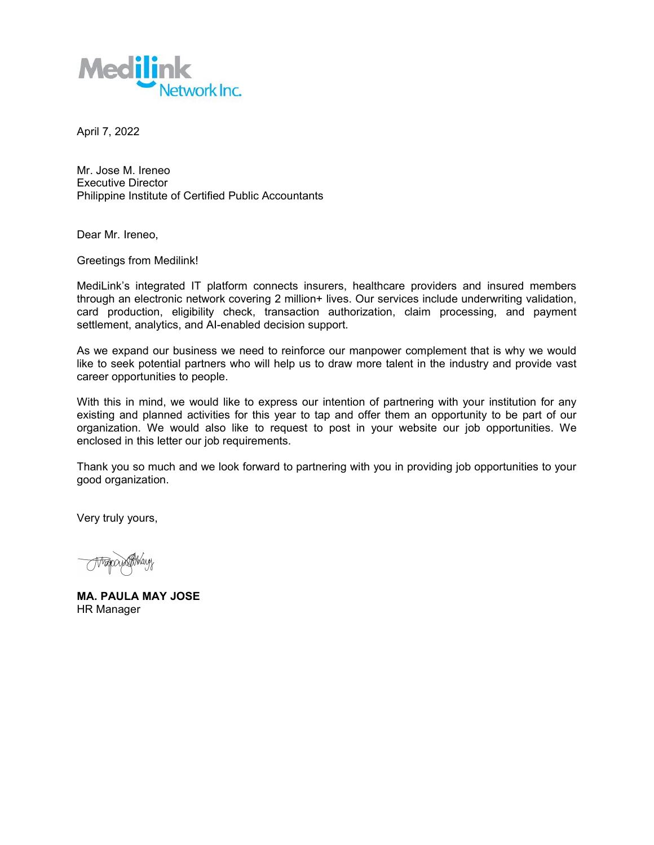

April 7, 2022

Mr. Jose M. Ireneo Executive Director Philippine Institute of Certified Public Accountants

Dear Mr. Ireneo,

Greetings from Medilink!

MediLink's integrated IT platform connects insurers, healthcare providers and insured members through an electronic network covering 2 million+ lives. Our services include underwriting validation, card production, eligibility check, transaction authorization, claim processing, and payment settlement, analytics, and AI-enabled decision support.

As we expand our business we need to reinforce our manpower complement that is why we would like to seek potential partners who will help us to draw more talent in the industry and provide vast career opportunities to people.

With this in mind, we would like to express our intention of partnering with your institution for any existing and planned activities for this year to tap and offer them an opportunity to be part of our organization. We would also like to request to post in your website our job opportunities. We enclosed in this letter our job requirements.

Thank you so much and we look forward to partnering with you in providing job opportunities to your good organization.

Very truly yours,

**MA. PAULA MAY JOSE** HR Manager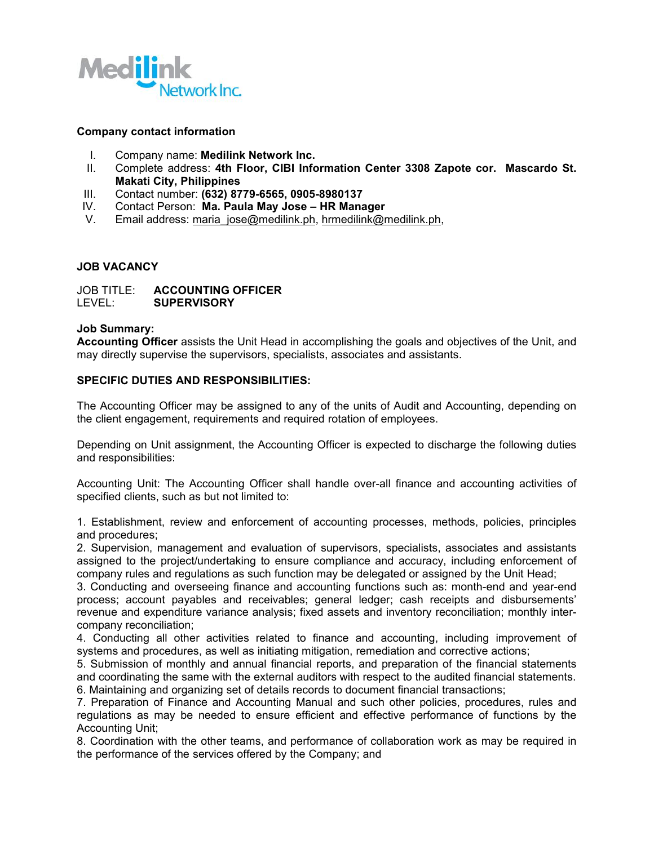

### **Company contact information**

- I. Company name: **Medilink Network Inc.**
- II. Complete address: **4th Floor, CIBI Information Center 3308 Zapote cor. Mascardo St. Makati City, Philippines**
- III. Contact number: **(632) 8779-6565, 0905-8980137**
- IV. Contact Person: **Ma. Paula May Jose – HR Manager**
- V. Email address: [maria\\_jose@medilink.ph](mailto:maria_jose@medilink.ph), [hrmedilink@medilink.ph,](mailto:hrmedilink@medilink.ph)

### **JOB VACANCY**

JOB TITLE: **ACCOUNTING OFFICER** LEVEL: **SUPERVISORY**

#### **Job Summary:**

**Accounting Officer** assists the Unit Head in accomplishing the goals and objectives of the Unit, and may directly supervise the supervisors, specialists, associates and assistants.

### **SPECIFIC DUTIES AND RESPONSIBILITIES:**

The Accounting Officer may be assigned to any of the units of Audit and Accounting, depending on the client engagement, requirements and required rotation of employees.

Depending on Unit assignment, the Accounting Officer is expected to discharge the following duties and responsibilities:

Accounting Unit: The Accounting Officer shall handle over-all finance and accounting activities of specified clients, such as but not limited to:

1. Establishment, review and enforcement of accounting processes, methods, policies, principles and procedures;

2. Supervision, management and evaluation of supervisors, specialists, associates and assistants assigned to the project/undertaking to ensure compliance and accuracy, including enforcement of company rules and regulations as such function may be delegated or assigned by the Unit Head;

3. Conducting and overseeing finance and accounting functions such as:month-end and year-end process; account payables and receivables; general ledger; cash receipts and disbursements' revenue and expenditure variance analysis; fixed assets and inventory reconciliation; monthly inter company reconciliation;

4. Conducting all other activities related to finance and accounting, including improvement of systems and procedures, as well as initiating mitigation, remediation and corrective actions;

5. Submission of monthly and annual financial reports, and preparation of the financial statements and coordinating the same with the external auditors with respect to the audited financial statements. 6. Maintaining and organizing set of details records to document financial transactions;

7. Preparation of Finance and Accounting Manual and such other policies, procedures, rules and regulations as may be needed to ensure efficient and effective performance of functions by the Accounting Unit;

8. Coordination with the other teams, and performance of collaboration work as may be required in the performance of the services offered by the Company; and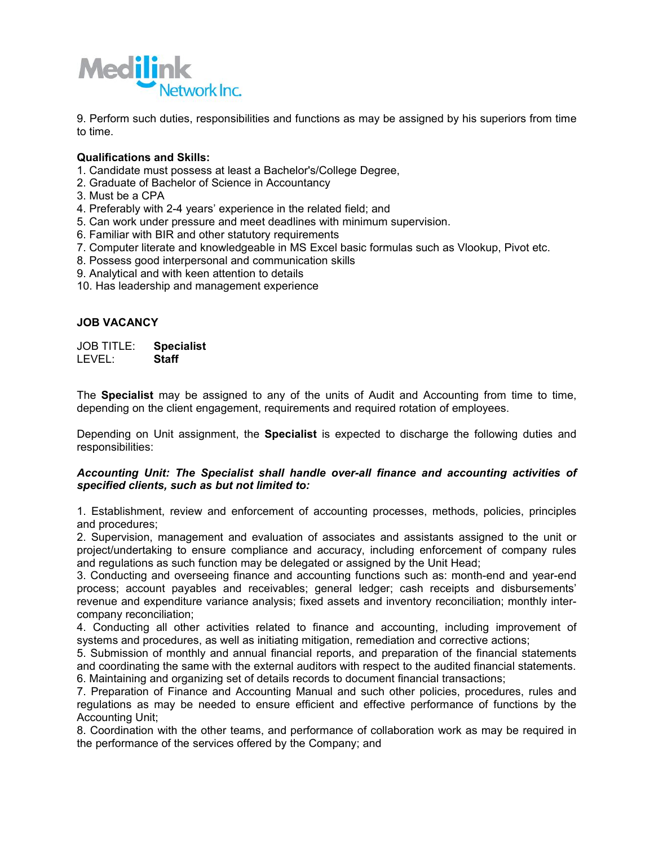

9. Perform such duties, responsibilities and functions as may be assigned by his superiors from time to time.

### **Qualifications and Skills:**

- 1. Candidate must possess at least a Bachelor's/College Degree,
- 2. Graduate of Bachelor of Science in Accountancy
- 3. Must be a CPA
- 4. Preferably with 2-4 years' experience in the related field; and
- 5. Can work under pressure and meet deadlines with minimum supervision.
- 6. Familiar with BIR and other statutory requirements
- 7. Computer literate and knowledgeable in MS Excel basic formulas such as Vlookup, Pivot etc.
- 8. Possess good interpersonal and communication skills
- 9. Analytical and with keen attention to details
- 10. Has leadership and management experience

# **JOB VACANCY**

JOB TITLE: **Specialist** LEVEL:

The **Specialist** may be assigned to any of the units of Audit and Accounting from time to time, depending on the client engagement, requirements and required rotation of employees.

Depending on Unit assignment, the **Specialist** is expected to discharge the following duties and responsibilities:

### *Accounting Unit: The Specialist shall handle over-all finance and accounting activities of specified clients, such as but not limited to:*

1. Establishment, review and enforcement of accounting processes,methods, policies, principles and procedures;

2. Supervision, management and evaluation of associates and assistants assigned to the unit or project/undertaking to ensure compliance and accuracy, including enforcement of company rules and regulations as such function may be delegated or assigned by the Unit Head;

3. Conducting and overseeing finance and accounting functions such as:month-end and year-end process; account payables and receivables; general ledger; cash receipts and disbursements' revenue and expenditure variance analysis; fixed assets and inventory reconciliation; monthly inter company reconciliation;

4. Conducting all other activities related to finance and accounting, including improvement of systems and procedures, as well as initiating mitigation, remediation and corrective actions;

5. Submission of monthly and annual financial reports, and preparation of the financial statements and coordinating the same with the external auditors with respect to the audited financial statements. 6. Maintaining and organizing set of details records to document financial transactions;

7. Preparation of Finance and Accounting Manual and such other policies, procedures, rules and regulations as may be needed to ensure efficient and effective performance of functions by the Accounting Unit;

8. Coordination with the other teams, and performance of collaboration work as may be required in the performance of the services offered by the Company; and